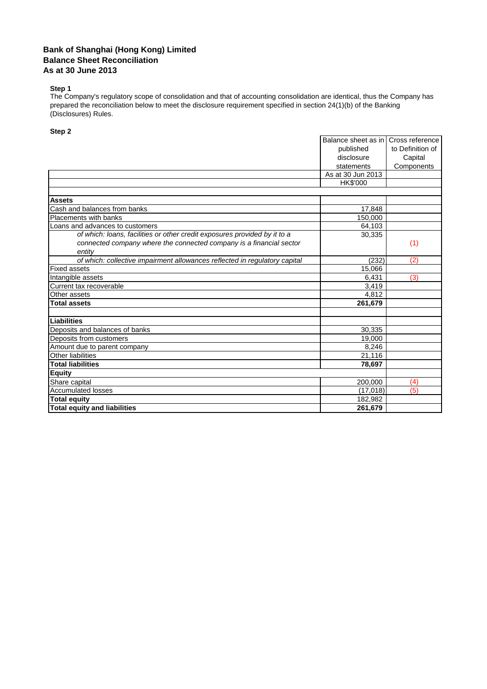## **Bank of Shanghai (Hong Kong) Limited Balance Sheet Reconciliation As at 30 June 2013**

## **Step 1**

The Company's regulatory scope of consolidation and that of accounting consolidation are identical, thus the Company has prepared the reconciliation below to meet the disclosure requirement specified in section 24(1)(b) of the Banking (Disclosures) Rules.

## **Step 2**

|                                                                            | Balance sheet as in | Cross reference  |
|----------------------------------------------------------------------------|---------------------|------------------|
|                                                                            | published           | to Definition of |
|                                                                            | disclosure          | Capital          |
|                                                                            | statements          | Components       |
|                                                                            | As at 30 Jun 2013   |                  |
|                                                                            | HK\$'000            |                  |
|                                                                            |                     |                  |
| <b>Assets</b>                                                              |                     |                  |
| Cash and balances from banks                                               | 17,848              |                  |
| Placements with banks                                                      | 150,000             |                  |
| Loans and advances to customers                                            | 64,103              |                  |
| of which: loans, facilities or other credit exposures provided by it to a  | 30,335              |                  |
| connected company where the connected company is a financial sector        |                     | (1)              |
| entity                                                                     |                     |                  |
| of which: collective impairment allowances reflected in regulatory capital | (232)               | (2)              |
| <b>Fixed assets</b>                                                        | 15,066              |                  |
| Intangible assets                                                          | 6,431               | (3)              |
| Current tax recoverable                                                    | 3,419               |                  |
| Other assets                                                               | 4,812               |                  |
| <b>Total assets</b>                                                        | 261,679             |                  |
|                                                                            |                     |                  |
| Liabilities                                                                |                     |                  |
| Deposits and balances of banks                                             | 30,335              |                  |
| Deposits from customers                                                    | 19,000              |                  |
| Amount due to parent company                                               | 8,246               |                  |
| <b>Other liabilities</b>                                                   | 21,116              |                  |
| <b>Total liabilities</b>                                                   | 78,697              |                  |
| <b>Equity</b>                                                              |                     |                  |
| Share capital                                                              | 200,000             | (4)              |
| <b>Accumulated losses</b>                                                  | (17, 018)           | (5)              |
| <b>Total equity</b>                                                        | 182,982             |                  |
| <b>Total equity and liabilities</b>                                        | 261,679             |                  |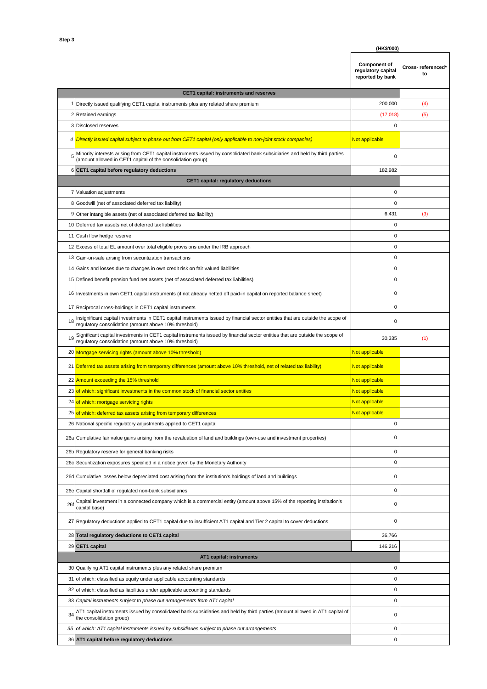|     | (HK\$'000)                                                                                                                                                                                 |                                                               |                         |
|-----|--------------------------------------------------------------------------------------------------------------------------------------------------------------------------------------------|---------------------------------------------------------------|-------------------------|
|     |                                                                                                                                                                                            | <b>Component of</b><br>regulatory capital<br>reported by bank | Cross-referenced*<br>to |
|     | CET1 capital: instruments and reserves                                                                                                                                                     |                                                               |                         |
|     | Directly issued qualifying CET1 capital instruments plus any related share premium                                                                                                         | 200,000                                                       | (4)                     |
| 2   | Retained earnings                                                                                                                                                                          | (17, 018)                                                     | (5)                     |
| 3   | <b>Disclosed reserves</b>                                                                                                                                                                  | $\mathbf 0$                                                   |                         |
|     |                                                                                                                                                                                            |                                                               |                         |
|     | 4 Directly issued capital subject to phase out from CET1 capital (only applicable to non-joint stock companies)                                                                            | Not applicable                                                |                         |
|     | Minority interests arising from CET1 capital instruments issued by consolidated bank subsidiaries and held by third parties<br>(amount allowed in CET1 capital of the consolidation group) | 0                                                             |                         |
| 6   | CET1 capital before regulatory deductions                                                                                                                                                  | 182,982                                                       |                         |
|     | <b>CET1 capital: regulatory deductions</b>                                                                                                                                                 |                                                               |                         |
|     | 7 Valuation adjustments                                                                                                                                                                    | $\mathbf 0$                                                   |                         |
| 8   | Goodwill (net of associated deferred tax liability)                                                                                                                                        | $\mathbf 0$                                                   |                         |
| 9   | Other intangible assets (net of associated deferred tax liability)                                                                                                                         | 6,431                                                         | (3)                     |
| 10  | Deferred tax assets net of deferred tax liabilities                                                                                                                                        | $\mathbf 0$                                                   |                         |
| 11  | Cash flow hedge reserve                                                                                                                                                                    | $\mathbf 0$                                                   |                         |
| 12  |                                                                                                                                                                                            | $\mathbf 0$                                                   |                         |
|     | Excess of total EL amount over total eligible provisions under the IRB approach                                                                                                            |                                                               |                         |
| 13  | Gain-on-sale arising from securitization transactions                                                                                                                                      | $\mathbf 0$                                                   |                         |
| 14  | Gains and losses due to changes in own credit risk on fair valued liabilities                                                                                                              | $\mathbf 0$                                                   |                         |
| 15  | Defined benefit pension fund net assets (net of associated deferred tax liabilities)                                                                                                       | $\mathbf 0$                                                   |                         |
|     | 16 Investments in own CET1 capital instruments (if not already netted off paid-in capital on reported balance sheet)                                                                       | $\mathbf 0$                                                   |                         |
| 17  | Reciprocal cross-holdings in CET1 capital instruments                                                                                                                                      | $\pmb{0}$                                                     |                         |
| 18  | Insignificant capital investments in CET1 capital instruments issued by financial sector entities that are outside the scope of<br>regulatory consolidation (amount above 10% threshold)   | $\mathbf 0$                                                   |                         |
| 19  | Significant capital investments in CET1 capital instruments issued by financial sector entities that are outside the scope of<br>regulatory consolidation (amount above 10% threshold)     | 30,335                                                        | (1)                     |
|     | 20 Mortgage servicing rights (amount above 10% threshold)                                                                                                                                  | Not applicable                                                |                         |
|     |                                                                                                                                                                                            |                                                               |                         |
|     | 21 Deferred tax assets arising from temporary differences (amount above 10% threshold, net of related tax liability)                                                                       | Not applicable                                                |                         |
| 22  | Amount exceeding the 15% threshold                                                                                                                                                         | Not applicable                                                |                         |
|     | 23 of which: significant investments in the common stock of financial sector entities                                                                                                      | Not applicable                                                |                         |
| 24  |                                                                                                                                                                                            | Not applicable                                                |                         |
|     | of which: mortgage servicing rights                                                                                                                                                        |                                                               |                         |
| 25  | of which: deferred tax assets arising from temporary differences                                                                                                                           | Not applicable                                                |                         |
| 26  | National specific regulatory adjustments applied to CET1 capital                                                                                                                           | $\mathbf 0$<br>0                                              |                         |
|     | 26a Cumulative fair value gains arising from the revaluation of land and buildings (own-use and investment properties)                                                                     |                                                               |                         |
| 26b | Regulatory reserve for general banking risks                                                                                                                                               | $\mathbf 0$                                                   |                         |
|     | 26c Securitization exposures specified in a notice given by the Monetary Authority                                                                                                         | $\mathbf 0$                                                   |                         |
|     | 26d Cumulative losses below depreciated cost arising from the institution's holdings of land and buildings                                                                                 | 0                                                             |                         |
| 26e | Capital shortfall of regulated non-bank subsidiaries                                                                                                                                       | $\pmb{0}$                                                     |                         |
| 261 | Capital investment in a connected company which is a commercial entity (amount above 15% of the reporting institution's<br>capital base)                                                   | $\mathbf 0$                                                   |                         |
|     | 27 Regulatory deductions applied to CET1 capital due to insufficient AT1 capital and Tier 2 capital to cover deductions                                                                    | $\mathbf 0$                                                   |                         |
|     | 28 Total regulatory deductions to CET1 capital                                                                                                                                             | 36,766                                                        |                         |
|     | 29 CET1 capital                                                                                                                                                                            | 146,216                                                       |                         |
|     | AT1 capital: instruments                                                                                                                                                                   |                                                               |                         |
| 30  | Qualifying AT1 capital instruments plus any related share premium                                                                                                                          | $\mathbf 0$                                                   |                         |
| 31  | of which: classified as equity under applicable accounting standards                                                                                                                       | 0                                                             |                         |
|     |                                                                                                                                                                                            |                                                               |                         |
| 32  | of which: classified as liabilities under applicable accounting standards                                                                                                                  | 0                                                             |                         |
| 33  | Capital instruments subject to phase out arrangements from AT1 capital                                                                                                                     | $\mathbf 0$                                                   |                         |
| 34  | AT1 capital instruments issued by consolidated bank subsidiaries and held by third parties (amount allowed in AT1 capital of<br>the consolidation group)                                   | $\mathbf 0$                                                   |                         |
| 35  | of which: AT1 capital instruments issued by subsidiaries subject to phase out arrangements<br>36 AT1 capital before regulatory deductions                                                  | $\mathbf 0$<br>$\pmb{0}$                                      |                         |